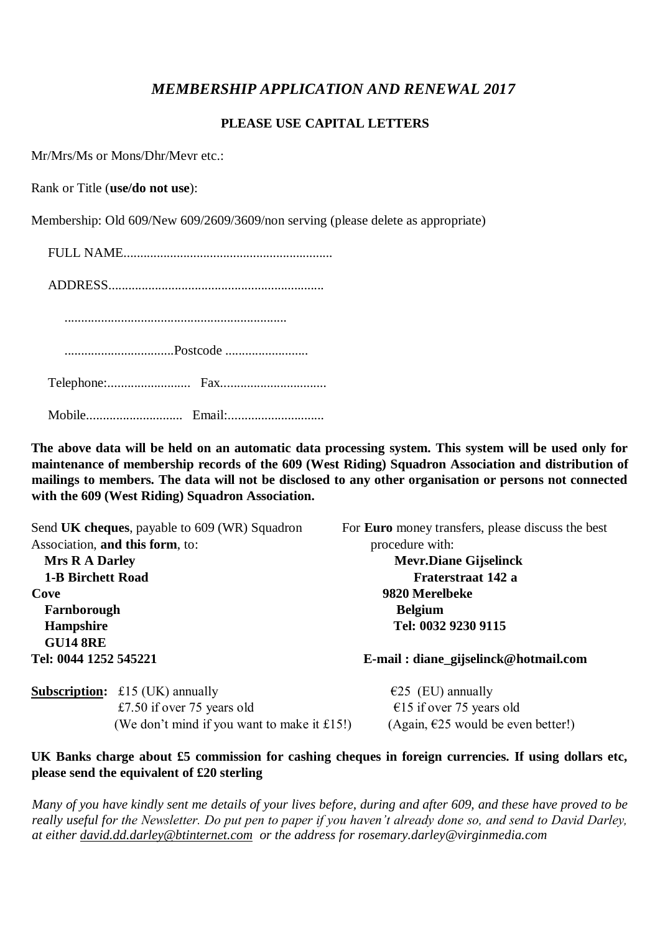## *MEMBERSHIP APPLICATION AND RENEWAL 2017*

## **PLEASE USE CAPITAL LETTERS**

Mr/Mrs/Ms or Mons/Dhr/Mevr etc.:

Rank or Title (**use/do not use**):

Membership: Old 609/New 609/2609/3609/non serving (please delete as appropriate)

FULL NAME...............................................................

ADDRESS.................................................................

...................................................................

.................................Postcode .........................

Telephone:......................... Fax................................

Mobile............................. Email:.............................

**The above data will be held on an automatic data processing system. This system will be used only for maintenance of membership records of the 609 (West Riding) Squadron Association and distribution of mailings to members. The data will not be disclosed to any other organisation or persons not connected with the 609 (West Riding) Squadron Association.**

| Send UK cheques, payable to 609 (WR) Squadron<br>Association, and this form, to:<br><b>Mrs R A Darley</b><br><b>1-B Birchett Road</b><br>Cove<br>Farnborough |                                               | For <b>Euro</b> money transfers, please discuss the best<br>procedure with:<br><b>Mevr.Diane Gijselinck</b><br>Fraterstraat 142 a<br>9820 Merelbeke<br><b>Belgium</b> |                       |                                        |                                      |
|--------------------------------------------------------------------------------------------------------------------------------------------------------------|-----------------------------------------------|-----------------------------------------------------------------------------------------------------------------------------------------------------------------------|-----------------------|----------------------------------------|--------------------------------------|
|                                                                                                                                                              |                                               |                                                                                                                                                                       | Hampshire             |                                        | Tel: 0032 9230 9115                  |
|                                                                                                                                                              |                                               |                                                                                                                                                                       | <b>GU14 8RE</b>       |                                        |                                      |
|                                                                                                                                                              |                                               |                                                                                                                                                                       | Tel: 0044 1252 545221 |                                        | E-mail: diane_gijselinck@hotmail.com |
|                                                                                                                                                              |                                               |                                                                                                                                                                       |                       | <b>Subscription:</b> £15 (UK) annually | €25 (EU) annually                    |
|                                                                                                                                                              | £7.50 if over $75$ years old                  | €15 if over 75 years old                                                                                                                                              |                       |                                        |                                      |
|                                                                                                                                                              | (We don't mind if you want to make it $£15!)$ | (Again, $\epsilon$ 25 would be even better!)                                                                                                                          |                       |                                        |                                      |

**UK Banks charge about £5 commission for cashing cheques in foreign currencies. If using dollars etc, please send the equivalent of £20 sterling**

*Many of you have kindly sent me details of your lives before, during and after 609, and these have proved to be really useful for the Newsletter. Do put pen to paper if you haven't already done so, and send to David Darley, at either david.dd.darley@btinternet.com or the address for rosemary.darley@virginmedia.com*